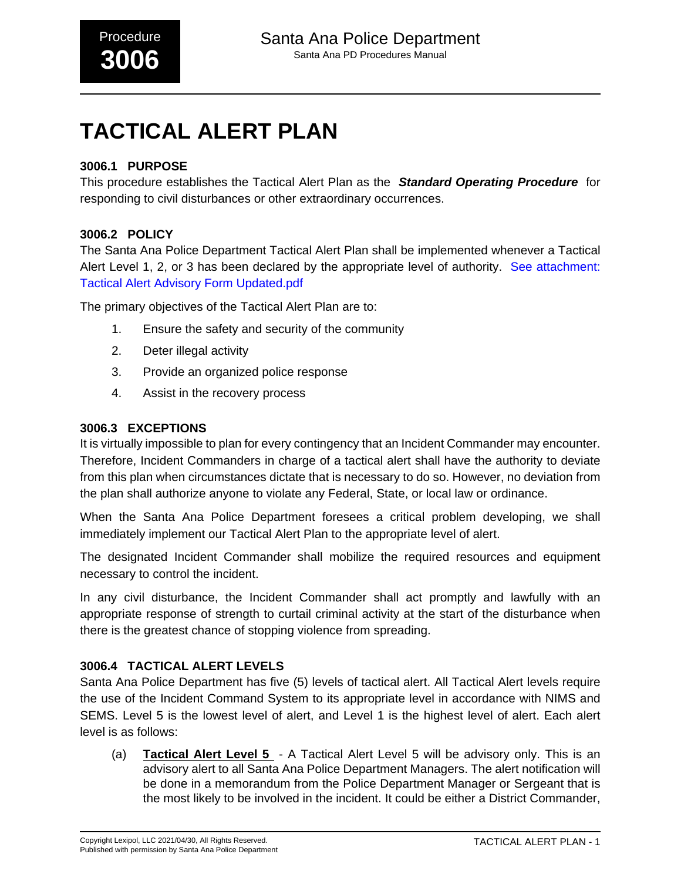# **TACTICAL ALERT PLAN**

#### **3006.1 PURPOSE**

This procedure establishes the Tactical Alert Plan as the **Standard Operating Procedure** for responding to civil disturbances or other extraordinary occurrences.

#### **3006.2 POLICY**

The Santa Ana Police Department Tactical Alert Plan shall be implemented whenever a Tactical Alert Level 1, 2, or 3 has been declared by the appropriate level of authority. [See attachment:](#page-8-0) [Tactical Alert Advisory Form Updated.pdf](#page-8-0)

The primary objectives of the Tactical Alert Plan are to:

- 1. Ensure the safety and security of the community
- 2. Deter illegal activity
- 3. Provide an organized police response
- 4. Assist in the recovery process

#### **3006.3 EXCEPTIONS**

It is virtually impossible to plan for every contingency that an Incident Commander may encounter. Therefore, Incident Commanders in charge of a tactical alert shall have the authority to deviate from this plan when circumstances dictate that is necessary to do so. However, no deviation from the plan shall authorize anyone to violate any Federal, State, or local law or ordinance.

When the Santa Ana Police Department foresees a critical problem developing, we shall immediately implement our Tactical Alert Plan to the appropriate level of alert.

The designated Incident Commander shall mobilize the required resources and equipment necessary to control the incident.

In any civil disturbance, the Incident Commander shall act promptly and lawfully with an appropriate response of strength to curtail criminal activity at the start of the disturbance when there is the greatest chance of stopping violence from spreading.

#### **3006.4 TACTICAL ALERT LEVELS**

Santa Ana Police Department has five (5) levels of tactical alert. All Tactical Alert levels require the use of the Incident Command System to its appropriate level in accordance with NIMS and SEMS. Level 5 is the lowest level of alert, and Level 1 is the highest level of alert. Each alert level is as follows:

(a) **Tactical Alert Level 5** - A Tactical Alert Level 5 will be advisory only. This is an advisory alert to all Santa Ana Police Department Managers. The alert notification will be done in a memorandum from the Police Department Manager or Sergeant that is the most likely to be involved in the incident. It could be either a District Commander,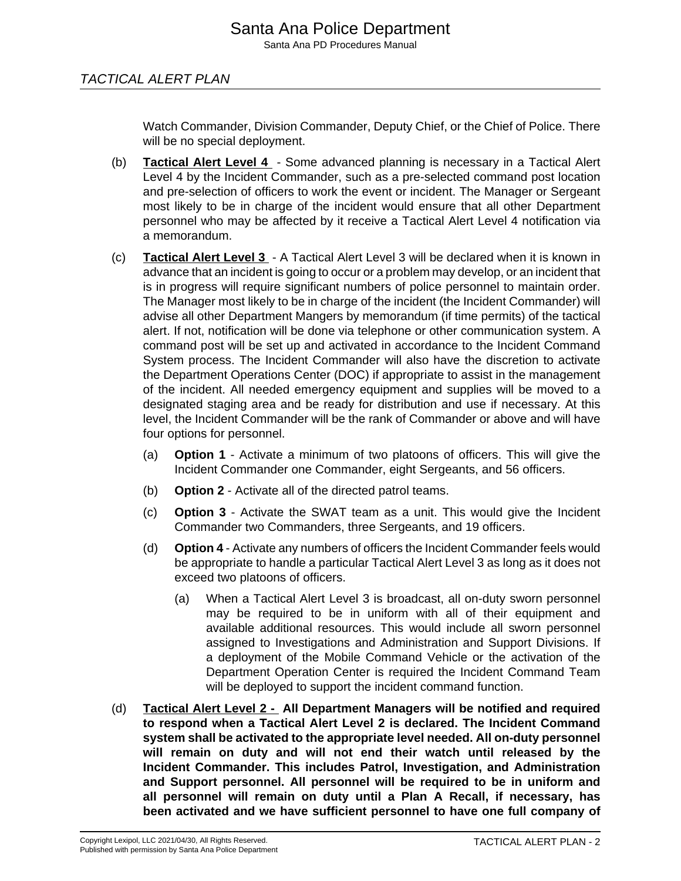#### TACTICAL ALERT PLAN

Watch Commander, Division Commander, Deputy Chief, or the Chief of Police. There will be no special deployment.

- (b) **Tactical Alert Level 4** Some advanced planning is necessary in a Tactical Alert Level 4 by the Incident Commander, such as a pre-selected command post location and pre-selection of officers to work the event or incident. The Manager or Sergeant most likely to be in charge of the incident would ensure that all other Department personnel who may be affected by it receive a Tactical Alert Level 4 notification via a memorandum.
- (c) **Tactical Alert Level 3** A Tactical Alert Level 3 will be declared when it is known in advance that an incident is going to occur or a problem may develop, or an incident that is in progress will require significant numbers of police personnel to maintain order. The Manager most likely to be in charge of the incident (the Incident Commander) will advise all other Department Mangers by memorandum (if time permits) of the tactical alert. If not, notification will be done via telephone or other communication system. A command post will be set up and activated in accordance to the Incident Command System process. The Incident Commander will also have the discretion to activate the Department Operations Center (DOC) if appropriate to assist in the management of the incident. All needed emergency equipment and supplies will be moved to a designated staging area and be ready for distribution and use if necessary. At this level, the Incident Commander will be the rank of Commander or above and will have four options for personnel.
	- (a) **Option 1** Activate a minimum of two platoons of officers. This will give the Incident Commander one Commander, eight Sergeants, and 56 officers.
	- (b) **Option 2** Activate all of the directed patrol teams.
	- (c) **Option 3** Activate the SWAT team as a unit. This would give the Incident Commander two Commanders, three Sergeants, and 19 officers.
	- (d) **Option 4**  Activate any numbers of officers the Incident Commander feels would be appropriate to handle a particular Tactical Alert Level 3 as long as it does not exceed two platoons of officers.
		- (a) When a Tactical Alert Level 3 is broadcast, all on-duty sworn personnel may be required to be in uniform with all of their equipment and available additional resources. This would include all sworn personnel assigned to Investigations and Administration and Support Divisions. If a deployment of the Mobile Command Vehicle or the activation of the Department Operation Center is required the Incident Command Team will be deployed to support the incident command function.
- (d) **Tactical Alert Level 2 - All Department Managers will be notified and required to respond when a Tactical Alert Level 2 is declared. The Incident Command system shall be activated to the appropriate level needed. All on-duty personnel will remain on duty and will not end their watch until released by the Incident Commander. This includes Patrol, Investigation, and Administration and Support personnel. All personnel will be required to be in uniform and all personnel will remain on duty until a Plan A Recall, if necessary, has been activated and we have sufficient personnel to have one full company of**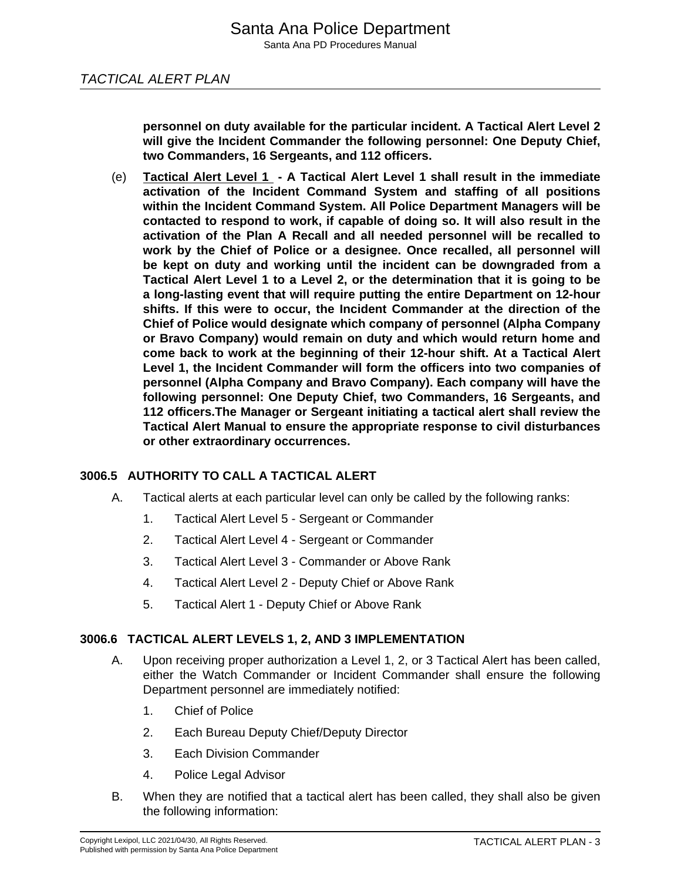**personnel on duty available for the particular incident. A Tactical Alert Level 2 will give the Incident Commander the following personnel: One Deputy Chief, two Commanders, 16 Sergeants, and 112 officers.**

(e) **Tactical Alert Level 1 - A Tactical Alert Level 1 shall result in the immediate activation of the Incident Command System and staffing of all positions within the Incident Command System. All Police Department Managers will be contacted to respond to work, if capable of doing so. It will also result in the activation of the Plan A Recall and all needed personnel will be recalled to work by the Chief of Police or a designee. Once recalled, all personnel will be kept on duty and working until the incident can be downgraded from a Tactical Alert Level 1 to a Level 2, or the determination that it is going to be a long-lasting event that will require putting the entire Department on 12-hour shifts. If this were to occur, the Incident Commander at the direction of the Chief of Police would designate which company of personnel (Alpha Company or Bravo Company) would remain on duty and which would return home and come back to work at the beginning of their 12-hour shift. At a Tactical Alert Level 1, the Incident Commander will form the officers into two companies of personnel (Alpha Company and Bravo Company). Each company will have the following personnel: One Deputy Chief, two Commanders, 16 Sergeants, and 112 officers.The Manager or Sergeant initiating a tactical alert shall review the Tactical Alert Manual to ensure the appropriate response to civil disturbances or other extraordinary occurrences.**

#### **3006.5 AUTHORITY TO CALL A TACTICAL ALERT**

- A. Tactical alerts at each particular level can only be called by the following ranks:
	- 1. Tactical Alert Level 5 Sergeant or Commander
	- 2. Tactical Alert Level 4 Sergeant or Commander
	- 3. Tactical Alert Level 3 Commander or Above Rank
	- 4. Tactical Alert Level 2 Deputy Chief or Above Rank
	- 5. Tactical Alert 1 Deputy Chief or Above Rank

#### **3006.6 TACTICAL ALERT LEVELS 1, 2, AND 3 IMPLEMENTATION**

- A. Upon receiving proper authorization a Level 1, 2, or 3 Tactical Alert has been called, either the Watch Commander or Incident Commander shall ensure the following Department personnel are immediately notified:
	- 1. Chief of Police
	- 2. Each Bureau Deputy Chief/Deputy Director
	- 3. Each Division Commander
	- 4. Police Legal Advisor
- B. When they are notified that a tactical alert has been called, they shall also be given the following information: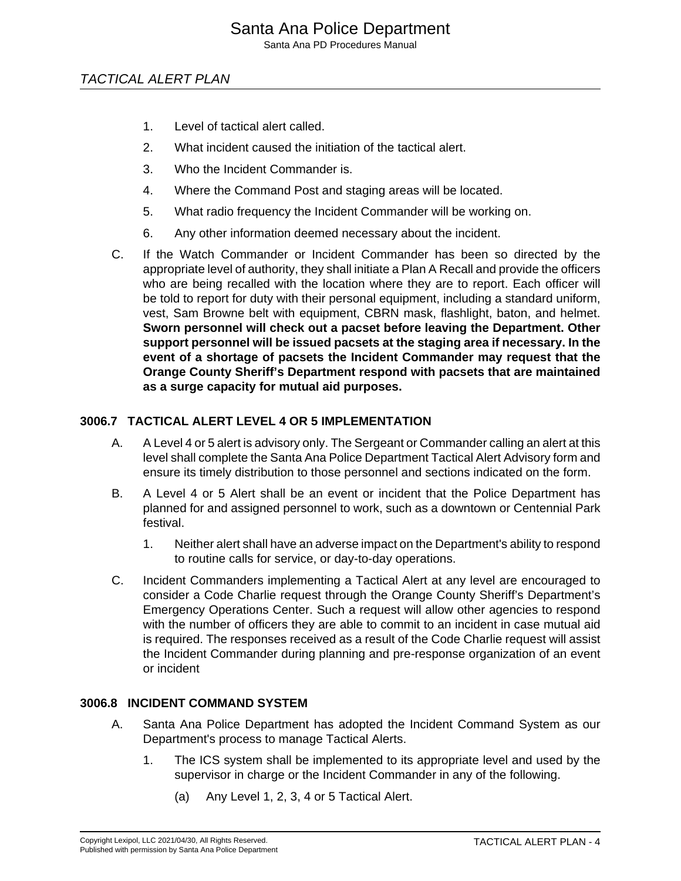Santa Ana PD Procedures Manual

#### TACTICAL ALERT PLAN

- 1. Level of tactical alert called.
- 2. What incident caused the initiation of the tactical alert.
- 3. Who the Incident Commander is.
- 4. Where the Command Post and staging areas will be located.
- 5. What radio frequency the Incident Commander will be working on.
- 6. Any other information deemed necessary about the incident.
- C. If the Watch Commander or Incident Commander has been so directed by the appropriate level of authority, they shall initiate a Plan A Recall and provide the officers who are being recalled with the location where they are to report. Each officer will be told to report for duty with their personal equipment, including a standard uniform, vest, Sam Browne belt with equipment, CBRN mask, flashlight, baton, and helmet. **Sworn personnel will check out a pacset before leaving the Department. Other support personnel will be issued pacsets at the staging area if necessary. In the event of a shortage of pacsets the Incident Commander may request that the Orange County Sheriff's Department respond with pacsets that are maintained as a surge capacity for mutual aid purposes.**

#### **3006.7 TACTICAL ALERT LEVEL 4 OR 5 IMPLEMENTATION**

- A. A Level 4 or 5 alert is advisory only. The Sergeant or Commander calling an alert at this level shall complete the Santa Ana Police Department Tactical Alert Advisory form and ensure its timely distribution to those personnel and sections indicated on the form.
- B. A Level 4 or 5 Alert shall be an event or incident that the Police Department has planned for and assigned personnel to work, such as a downtown or Centennial Park festival.
	- 1. Neither alert shall have an adverse impact on the Department's ability to respond to routine calls for service, or day-to-day operations.
- C. Incident Commanders implementing a Tactical Alert at any level are encouraged to consider a Code Charlie request through the Orange County Sheriff's Department's Emergency Operations Center. Such a request will allow other agencies to respond with the number of officers they are able to commit to an incident in case mutual aid is required. The responses received as a result of the Code Charlie request will assist the Incident Commander during planning and pre-response organization of an event or incident

#### **3006.8 INCIDENT COMMAND SYSTEM**

- A. Santa Ana Police Department has adopted the Incident Command System as our Department's process to manage Tactical Alerts.
	- 1. The ICS system shall be implemented to its appropriate level and used by the supervisor in charge or the Incident Commander in any of the following.
		- (a) Any Level 1, 2, 3, 4 or 5 Tactical Alert.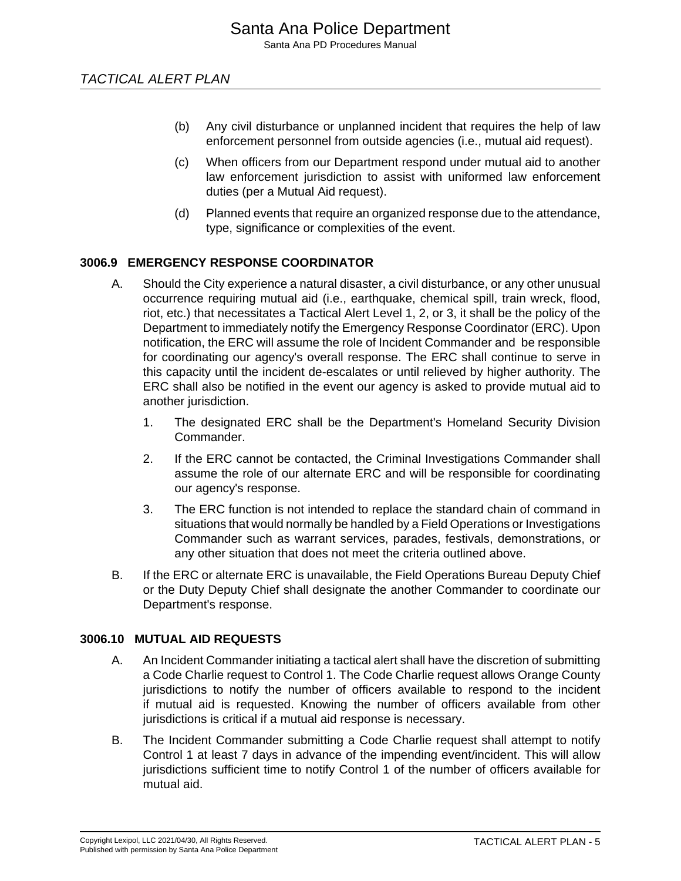- (b) Any civil disturbance or unplanned incident that requires the help of law enforcement personnel from outside agencies (i.e., mutual aid request).
- (c) When officers from our Department respond under mutual aid to another law enforcement jurisdiction to assist with uniformed law enforcement duties (per a Mutual Aid request).
- (d) Planned events that require an organized response due to the attendance, type, significance or complexities of the event.

#### **3006.9 EMERGENCY RESPONSE COORDINATOR**

- A. Should the City experience a natural disaster, a civil disturbance, or any other unusual occurrence requiring mutual aid (i.e., earthquake, chemical spill, train wreck, flood, riot, etc.) that necessitates a Tactical Alert Level 1, 2, or 3, it shall be the policy of the Department to immediately notify the Emergency Response Coordinator (ERC). Upon notification, the ERC will assume the role of Incident Commander and be responsible for coordinating our agency's overall response. The ERC shall continue to serve in this capacity until the incident de-escalates or until relieved by higher authority. The ERC shall also be notified in the event our agency is asked to provide mutual aid to another jurisdiction.
	- 1. The designated ERC shall be the Department's Homeland Security Division Commander.
	- 2. If the ERC cannot be contacted, the Criminal Investigations Commander shall assume the role of our alternate ERC and will be responsible for coordinating our agency's response.
	- 3. The ERC function is not intended to replace the standard chain of command in situations that would normally be handled by a Field Operations or Investigations Commander such as warrant services, parades, festivals, demonstrations, or any other situation that does not meet the criteria outlined above.
- B. If the ERC or alternate ERC is unavailable, the Field Operations Bureau Deputy Chief or the Duty Deputy Chief shall designate the another Commander to coordinate our Department's response.

#### **3006.10 MUTUAL AID REQUESTS**

- A. An Incident Commander initiating a tactical alert shall have the discretion of submitting a Code Charlie request to Control 1. The Code Charlie request allows Orange County jurisdictions to notify the number of officers available to respond to the incident if mutual aid is requested. Knowing the number of officers available from other jurisdictions is critical if a mutual aid response is necessary.
- B. The Incident Commander submitting a Code Charlie request shall attempt to notify Control 1 at least 7 days in advance of the impending event/incident. This will allow jurisdictions sufficient time to notify Control 1 of the number of officers available for mutual aid.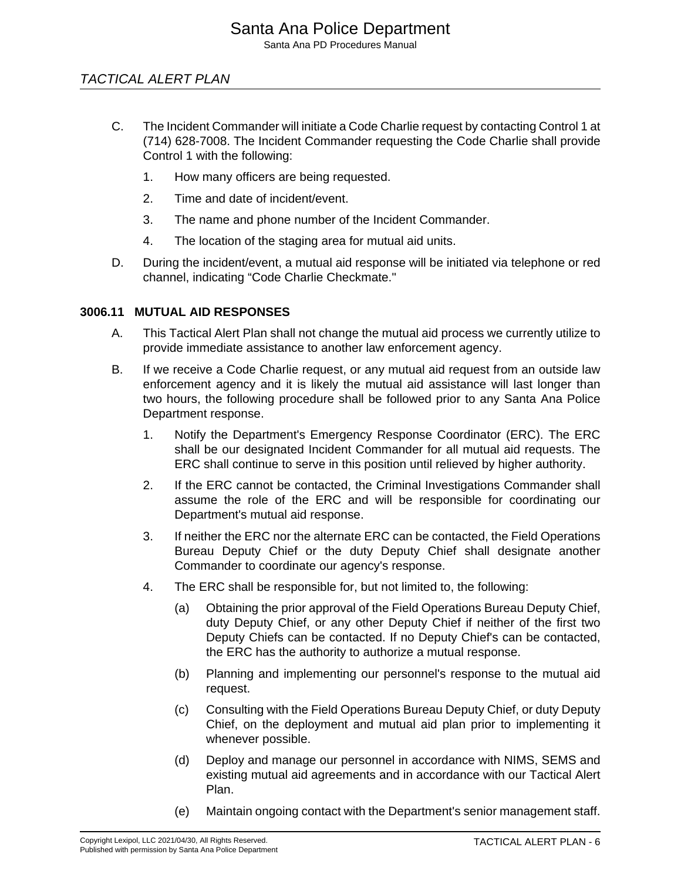#### TACTICAL ALERT PLAN

- C. The Incident Commander will initiate a Code Charlie request by contacting Control 1 at (714) 628-7008. The Incident Commander requesting the Code Charlie shall provide Control 1 with the following:
	- 1. How many officers are being requested.
	- 2. Time and date of incident/event.
	- 3. The name and phone number of the Incident Commander.
	- 4. The location of the staging area for mutual aid units.
- D. During the incident/event, a mutual aid response will be initiated via telephone or red channel, indicating "Code Charlie Checkmate."

#### **3006.11 MUTUAL AID RESPONSES**

- A. This Tactical Alert Plan shall not change the mutual aid process we currently utilize to provide immediate assistance to another law enforcement agency.
- B. If we receive a Code Charlie request, or any mutual aid request from an outside law enforcement agency and it is likely the mutual aid assistance will last longer than two hours, the following procedure shall be followed prior to any Santa Ana Police Department response.
	- 1. Notify the Department's Emergency Response Coordinator (ERC). The ERC shall be our designated Incident Commander for all mutual aid requests. The ERC shall continue to serve in this position until relieved by higher authority.
	- 2. If the ERC cannot be contacted, the Criminal Investigations Commander shall assume the role of the ERC and will be responsible for coordinating our Department's mutual aid response.
	- 3. If neither the ERC nor the alternate ERC can be contacted, the Field Operations Bureau Deputy Chief or the duty Deputy Chief shall designate another Commander to coordinate our agency's response.
	- 4. The ERC shall be responsible for, but not limited to, the following:
		- (a) Obtaining the prior approval of the Field Operations Bureau Deputy Chief, duty Deputy Chief, or any other Deputy Chief if neither of the first two Deputy Chiefs can be contacted. If no Deputy Chief's can be contacted, the ERC has the authority to authorize a mutual response.
		- (b) Planning and implementing our personnel's response to the mutual aid request.
		- (c) Consulting with the Field Operations Bureau Deputy Chief, or duty Deputy Chief, on the deployment and mutual aid plan prior to implementing it whenever possible.
		- (d) Deploy and manage our personnel in accordance with NIMS, SEMS and existing mutual aid agreements and in accordance with our Tactical Alert Plan.
		- (e) Maintain ongoing contact with the Department's senior management staff.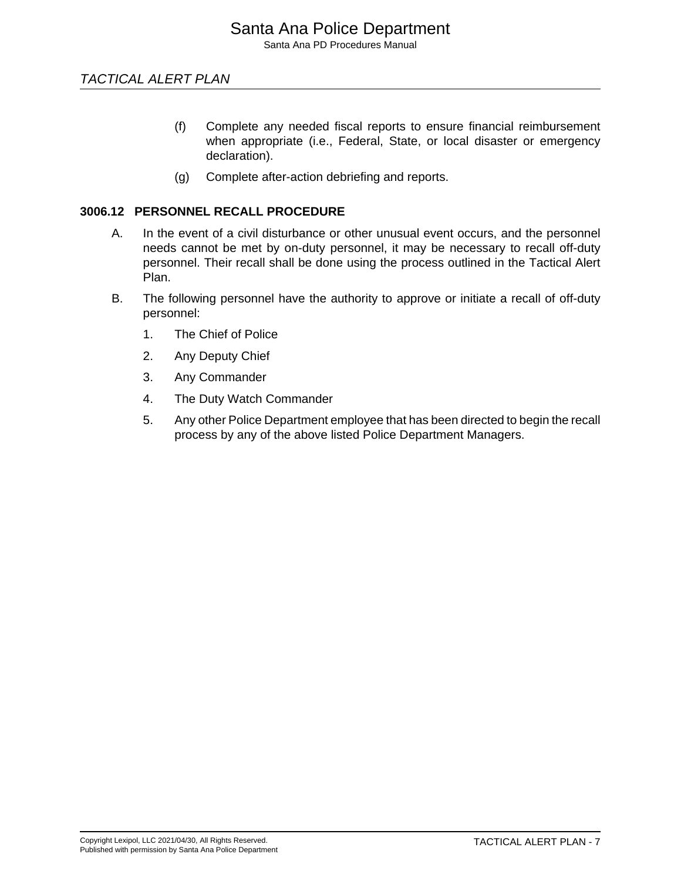- (f) Complete any needed fiscal reports to ensure financial reimbursement when appropriate (i.e., Federal, State, or local disaster or emergency declaration).
- (g) Complete after-action debriefing and reports.

#### **3006.12 PERSONNEL RECALL PROCEDURE**

- A. In the event of a civil disturbance or other unusual event occurs, and the personnel needs cannot be met by on-duty personnel, it may be necessary to recall off-duty personnel. Their recall shall be done using the process outlined in the Tactical Alert Plan.
- B. The following personnel have the authority to approve or initiate a recall of off-duty personnel:
	- 1. The Chief of Police
	- 2. Any Deputy Chief
	- 3. Any Commander
	- 4. The Duty Watch Commander
	- 5. Any other Police Department employee that has been directed to begin the recall process by any of the above listed Police Department Managers.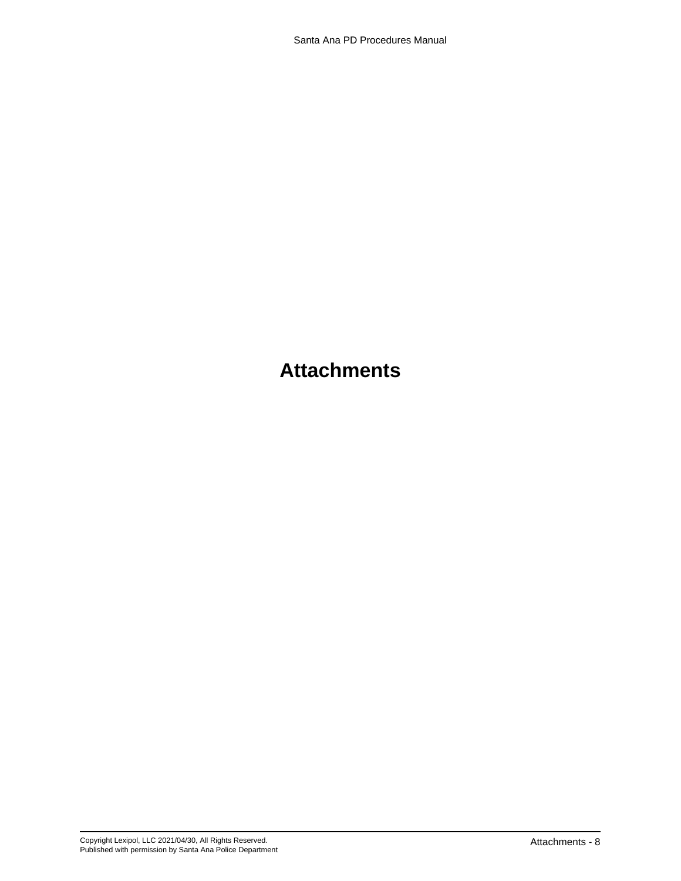### **Attachments**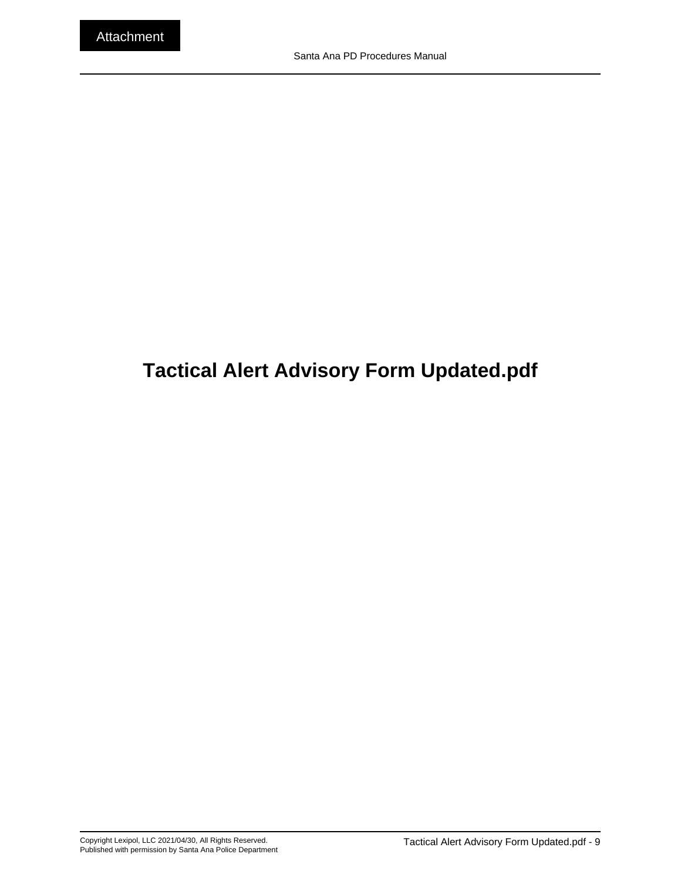## <span id="page-8-0"></span>**Tactical Alert Advisory Form Updated.pdf**